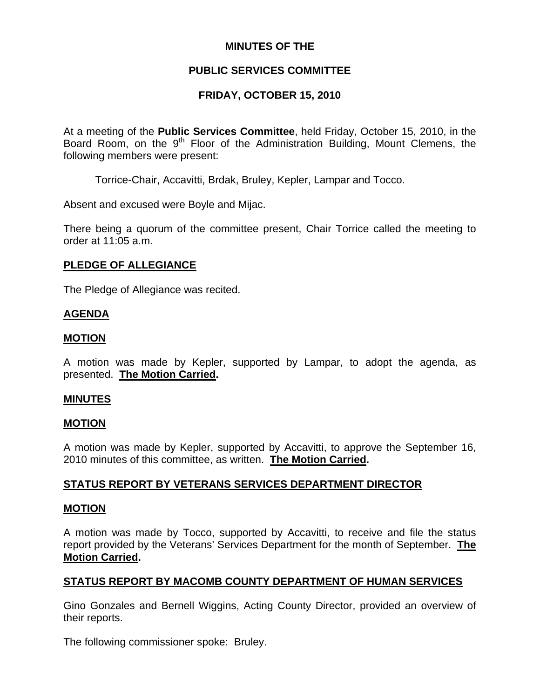### **MINUTES OF THE**

## **PUBLIC SERVICES COMMITTEE**

## **FRIDAY, OCTOBER 15, 2010**

At a meeting of the **Public Services Committee**, held Friday, October 15, 2010, in the Board Room, on the  $9<sup>th</sup>$  Floor of the Administration Building, Mount Clemens, the following members were present:

Torrice-Chair, Accavitti, Brdak, Bruley, Kepler, Lampar and Tocco.

Absent and excused were Boyle and Mijac.

There being a quorum of the committee present, Chair Torrice called the meeting to order at 11:05 a.m.

### **PLEDGE OF ALLEGIANCE**

The Pledge of Allegiance was recited.

### **AGENDA**

#### **MOTION**

A motion was made by Kepler, supported by Lampar, to adopt the agenda, as presented. **The Motion Carried.** 

#### **MINUTES**

#### **MOTION**

A motion was made by Kepler, supported by Accavitti, to approve the September 16, 2010 minutes of this committee, as written. **The Motion Carried.** 

### **STATUS REPORT BY VETERANS SERVICES DEPARTMENT DIRECTOR**

#### **MOTION**

A motion was made by Tocco, supported by Accavitti, to receive and file the status report provided by the Veterans' Services Department for the month of September. **The Motion Carried.** 

### **STATUS REPORT BY MACOMB COUNTY DEPARTMENT OF HUMAN SERVICES**

Gino Gonzales and Bernell Wiggins, Acting County Director, provided an overview of their reports.

The following commissioner spoke: Bruley.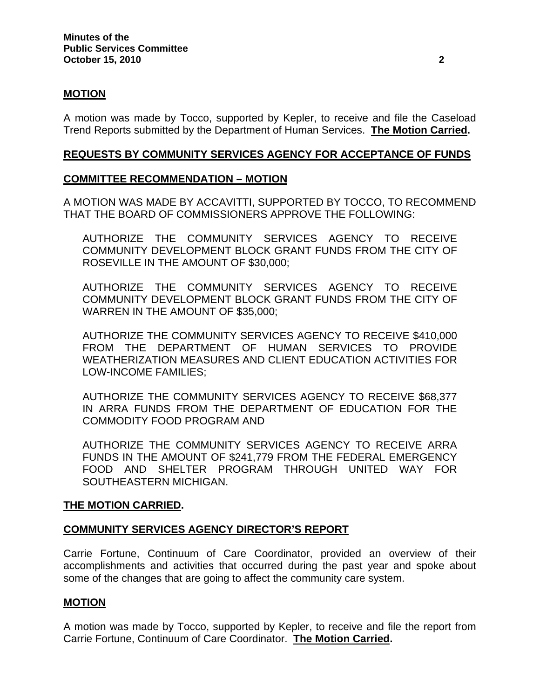### **MOTION**

A motion was made by Tocco, supported by Kepler, to receive and file the Caseload Trend Reports submitted by the Department of Human Services. **The Motion Carried.** 

#### **REQUESTS BY COMMUNITY SERVICES AGENCY FOR ACCEPTANCE OF FUNDS**

### **COMMITTEE RECOMMENDATION – MOTION**

A MOTION WAS MADE BY ACCAVITTI, SUPPORTED BY TOCCO, TO RECOMMEND THAT THE BOARD OF COMMISSIONERS APPROVE THE FOLLOWING:

AUTHORIZE THE COMMUNITY SERVICES AGENCY TO RECEIVE COMMUNITY DEVELOPMENT BLOCK GRANT FUNDS FROM THE CITY OF ROSEVILLE IN THE AMOUNT OF \$30,000;

AUTHORIZE THE COMMUNITY SERVICES AGENCY TO RECEIVE COMMUNITY DEVELOPMENT BLOCK GRANT FUNDS FROM THE CITY OF WARREN IN THE AMOUNT OF \$35,000;

AUTHORIZE THE COMMUNITY SERVICES AGENCY TO RECEIVE \$410,000 FROM THE DEPARTMENT OF HUMAN SERVICES TO PROVIDE WEATHERIZATION MEASURES AND CLIENT EDUCATION ACTIVITIES FOR LOW-INCOME FAMILIES;

AUTHORIZE THE COMMUNITY SERVICES AGENCY TO RECEIVE \$68,377 IN ARRA FUNDS FROM THE DEPARTMENT OF EDUCATION FOR THE COMMODITY FOOD PROGRAM AND

AUTHORIZE THE COMMUNITY SERVICES AGENCY TO RECEIVE ARRA FUNDS IN THE AMOUNT OF \$241,779 FROM THE FEDERAL EMERGENCY FOOD AND SHELTER PROGRAM THROUGH UNITED WAY FOR SOUTHEASTERN MICHIGAN.

#### **THE MOTION CARRIED.**

### **COMMUNITY SERVICES AGENCY DIRECTOR'S REPORT**

Carrie Fortune, Continuum of Care Coordinator, provided an overview of their accomplishments and activities that occurred during the past year and spoke about some of the changes that are going to affect the community care system.

#### **MOTION**

A motion was made by Tocco, supported by Kepler, to receive and file the report from Carrie Fortune, Continuum of Care Coordinator. **The Motion Carried.**